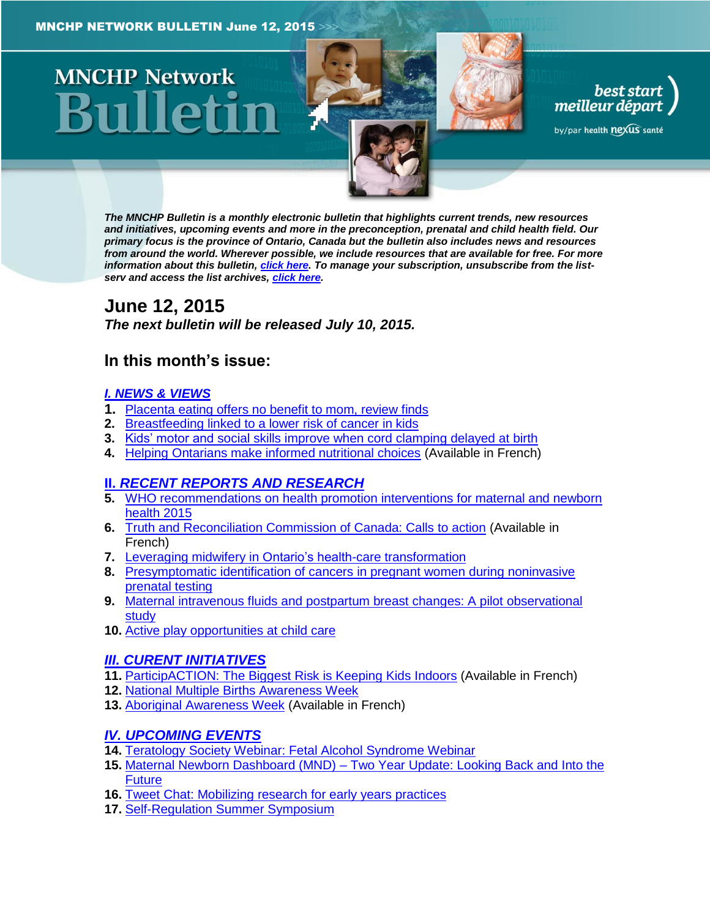# **MNCHP Network**



best start<br>| best start<br>| meilleur départ

by/par health nexus santé

*The MNCHP Bulletin is a monthly electronic bulletin that highlights current trends, new resources and initiatives, upcoming events and more in the preconception, prenatal and child health field. Our primary focus is the province of Ontario, Canada but the bulletin also includes news and resources from around the world. Wherever possible, we include resources that are available for free. For more information about this bulletin[, click here.](#page-12-0) To manage your subscription, unsubscribe from the listserv and access the list archives, [click here.](http://beststart.org/services/information.html)* 

# <span id="page-0-0"></span>**June 12, 2015**

*The next bulletin will be released July 10, 2015.*

# **In this month's issue:**

#### *[I. NEWS & VIEWS](#page-1-0)*

- **1.** [Placenta eating offers no benefit to mom, review finds](#page-1-1)
- **2.** [Breastfeeding linked to a lower risk of cancer in kids](#page-1-2)
- **3.** [Kids' motor and social skills improve when cord clamping delayed at birth](#page-1-3)
- **4.** [Helping Ontarians make informed nutritional choices](#page-2-0) (Available in French)

# **II.** *[RECENT REPORTS AND RESEARCH](#page-2-1)*

- **5.** [WHO recommendations on health promotion interventions for maternal and newborn](#page-2-2)  [health 2015](#page-2-2)
- **6.** [Truth and Reconciliation Commission of Canada: Calls to action](#page-3-0) (Available in French)
- **7.** [Leveraging midwifery in Ontario's health-care transformation](#page-3-1)
- **8.** [Presymptomatic identification of cancers in pregnant women during noninvasive](#page-4-0)  [prenatal testing](#page-4-0)
- **9.** [Maternal intravenous fluids and postpartum breast changes: A pilot observational](#page-5-0)  [study](#page-5-0)
- **10.** [Active play opportunities at child care](#page-5-1)

# *[III. CURENT INITIATIVES](#page-6-0)*

- **11.** [ParticipACTION: The Biggest Risk is Keeping Kids Indoors](#page-6-1) (Available in French)
- **12.** [National Multiple Births Awareness Week](#page-7-0)
- **13.** [Aboriginal Awareness Week](#page-7-1) (Available in French)

# *[IV. UPCOMING EVENTS](#page-8-0)*

- **14.** [Teratology Society Webinar: Fetal Alcohol Syndrome Webinar](#page-8-1)
- **15.** Maternal Newborn Dashboard (MND) [Two Year Update: Looking Back and Into the](#page-9-0)  [Future](#page-9-0)
- **16.** [Tweet Chat: Mobilizing research](#page-9-1) for early years practices
- **17.** [Self-Regulation Summer Symposium](#page-9-2)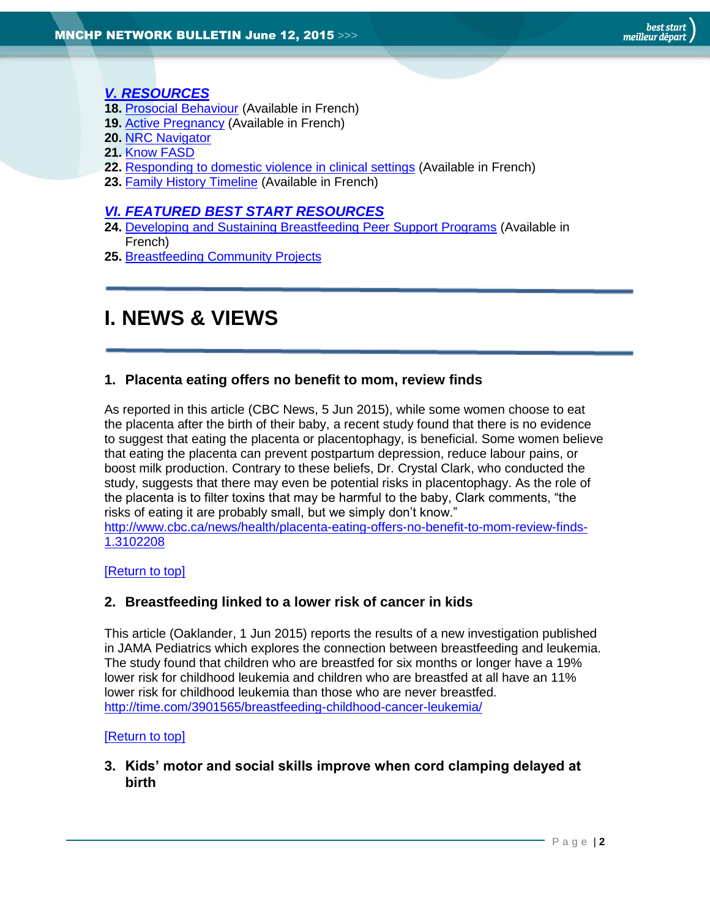# *[V. RESOURCES](#page-9-3)*

- **18.** [Prosocial Behaviour](#page-10-0) (Available in French)
- **19.** [Active Pregnancy](#page-10-1) (Available in French)
- **20.** [NRC Navigator](#page-10-2)
- **21.** [Know FASD](#page-10-3)
- **22.** [Responding to domestic violence in clinical settings](#page-11-0) (Available in French)
- **23.** [Family History Timeline](#page-11-1) (Available in French)

#### *[VI. FEATURED BEST START RESOURCES](#page-11-2)*

- 24. [Developing and Sustaining Breastfeeding Peer Support Programs](#page-11-3) (Available in French)
- **25.** [Breastfeeding Community Projects](#page-12-1)

# <span id="page-1-0"></span>**I. NEWS & VIEWS**

## <span id="page-1-1"></span>**1. Placenta eating offers no benefit to mom, review finds**

As reported in this article (CBC News, 5 Jun 2015), while some women choose to eat the placenta after the birth of their baby, a recent study found that there is no evidence to suggest that eating the placenta or placentophagy, is beneficial. Some women believe that eating the placenta can prevent postpartum depression, reduce labour pains, or boost milk production. Contrary to these beliefs, Dr. Crystal Clark, who conducted the study, suggests that there may even be potential risks in placentophagy. As the role of the placenta is to filter toxins that may be harmful to the baby, Clark comments, "the risks of eating it are probably small, but we simply don't know." [http://www.cbc.ca/news/health/placenta-eating-offers-no-benefit-to-mom-review-finds-](http://www.cbc.ca/news/health/placenta-eating-offers-no-benefit-to-mom-review-finds-1.3102208)

[1.3102208](http://www.cbc.ca/news/health/placenta-eating-offers-no-benefit-to-mom-review-finds-1.3102208)

#### [\[Return to top\]](#page-0-0)

# <span id="page-1-2"></span>**2. Breastfeeding linked to a lower risk of cancer in kids**

This article (Oaklander, 1 Jun 2015) reports the results of a new investigation published in JAMA Pediatrics which explores the connection between breastfeeding and leukemia. The study found that children who are breastfed for six months or longer have a 19% lower risk for childhood leukemia and children who are breastfed at all have an 11% lower risk for childhood leukemia than those who are never breastfed. <http://time.com/3901565/breastfeeding-childhood-cancer-leukemia/>

#### [\[Return to top\]](#page-0-0)

<span id="page-1-3"></span>**3. Kids' motor and social skills improve when cord clamping delayed at birth**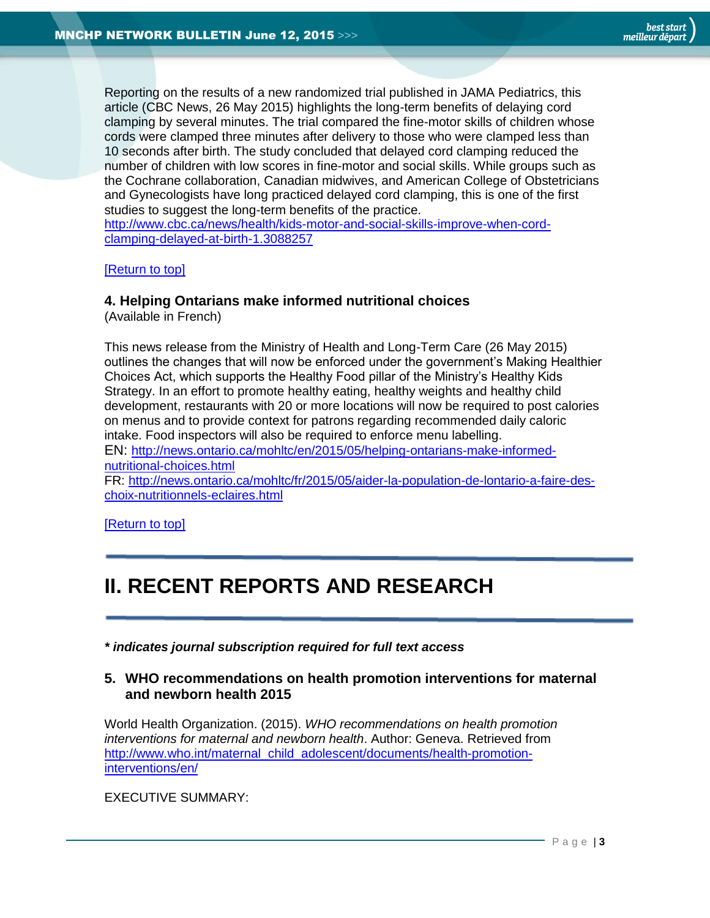Reporting on the results of a new randomized trial published in JAMA Pediatrics, this article (CBC News, 26 May 2015) highlights the long-term benefits of delaying cord clamping by several minutes. The trial compared the fine-motor skills of children whose cords were clamped three minutes after delivery to those who were clamped less than 10 seconds after birth. The study concluded that delayed cord clamping reduced the number of children with low scores in fine-motor and social skills. While groups such as the Cochrane collaboration, Canadian midwives, and American College of Obstetricians and Gynecologists have long practiced delayed cord clamping, this is one of the first studies to suggest the long-term benefits of the practice.

[http://www.cbc.ca/news/health/kids-motor-and-social-skills-improve-when-cord](http://www.cbc.ca/news/health/kids-motor-and-social-skills-improve-when-cord-clamping-delayed-at-birth-1.3088257)[clamping-delayed-at-birth-1.3088257](http://www.cbc.ca/news/health/kids-motor-and-social-skills-improve-when-cord-clamping-delayed-at-birth-1.3088257)

[\[Return to top\]](#page-0-0)

#### <span id="page-2-0"></span>**4. Helping Ontarians make informed nutritional choices**

(Available in French)

This news release from the Ministry of Health and Long-Term Care (26 May 2015) outlines the changes that will now be enforced under the government's Making Healthier Choices Act, which supports the Healthy Food pillar of the Ministry's Healthy Kids Strategy. In an effort to promote healthy eating, healthy weights and healthy child development, restaurants with 20 or more locations will now be required to post calories on menus and to provide context for patrons regarding recommended daily caloric intake. Food inspectors will also be required to enforce menu labelling.

EN: [http://news.ontario.ca/mohltc/en/2015/05/helping-ontarians-make-informed](http://news.ontario.ca/mohltc/en/2015/05/helping-ontarians-make-informed-nutritional-choices.html)[nutritional-choices.html](http://news.ontario.ca/mohltc/en/2015/05/helping-ontarians-make-informed-nutritional-choices.html)

FR: [http://news.ontario.ca/mohltc/fr/2015/05/aider-la-population-de-lontario-a-faire-des](http://news.ontario.ca/mohltc/fr/2015/05/aider-la-population-de-lontario-a-faire-des-choix-nutritionnels-eclaires.html)[choix-nutritionnels-eclaires.html](http://news.ontario.ca/mohltc/fr/2015/05/aider-la-population-de-lontario-a-faire-des-choix-nutritionnels-eclaires.html)

[\[Return to top\]](#page-0-0)

# <span id="page-2-1"></span>**II. RECENT REPORTS AND RESEARCH**

*\* indicates journal subscription required for full text access*

#### <span id="page-2-2"></span>**5. WHO recommendations on health promotion interventions for maternal and newborn health 2015**

World Health Organization. (2015). *WHO recommendations on health promotion interventions for maternal and newborn health*. Author: Geneva. Retrieved from [http://www.who.int/maternal\\_child\\_adolescent/documents/health-promotion](http://www.who.int/maternal_child_adolescent/documents/health-promotion-interventions/en/)[interventions/en/](http://www.who.int/maternal_child_adolescent/documents/health-promotion-interventions/en/)

EXECUTIVE SUMMARY: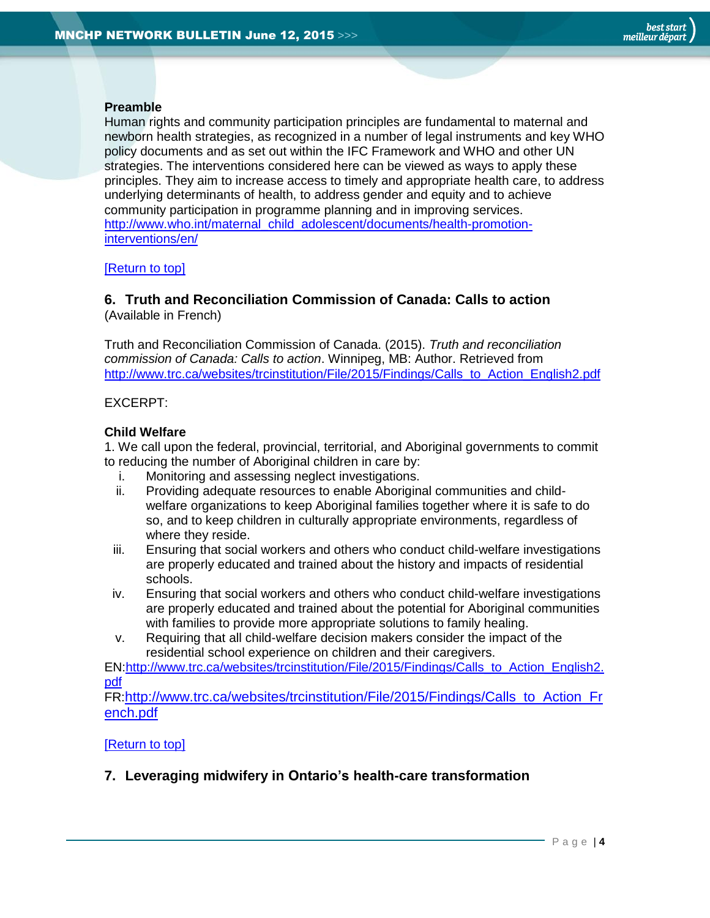#### **Preamble**

Human rights and community participation principles are fundamental to maternal and newborn health strategies, as recognized in a number of legal instruments and key WHO policy documents and as set out within the IFC Framework and WHO and other UN strategies. The interventions considered here can be viewed as ways to apply these principles. They aim to increase access to timely and appropriate health care, to address underlying determinants of health, to address gender and equity and to achieve community participation in programme planning and in improving services. [http://www.who.int/maternal\\_child\\_adolescent/documents/health-promotion](http://www.who.int/maternal_child_adolescent/documents/health-promotion-interventions/en/)[interventions/en/](http://www.who.int/maternal_child_adolescent/documents/health-promotion-interventions/en/)

#### [\[Return to top\]](#page-0-0)

## <span id="page-3-0"></span>**6. Truth and Reconciliation Commission of Canada: Calls to action** (Available in French)

Truth and Reconciliation Commission of Canada. (2015). *Truth and reconciliation commission of Canada: Calls to action*. Winnipeg, MB: Author. Retrieved from [http://www.trc.ca/websites/trcinstitution/File/2015/Findings/Calls\\_to\\_Action\\_English2.pdf](http://www.trc.ca/websites/trcinstitution/File/2015/Findings/Calls_to_Action_English2.pdf)

#### EXCERPT:

#### **Child Welfare**

1. We call upon the federal, provincial, territorial, and Aboriginal governments to commit to reducing the number of Aboriginal children in care by:

- i. Monitoring and assessing neglect investigations.
- ii. Providing adequate resources to enable Aboriginal communities and childwelfare organizations to keep Aboriginal families together where it is safe to do so, and to keep children in culturally appropriate environments, regardless of where they reside.
- iii. Ensuring that social workers and others who conduct child-welfare investigations are properly educated and trained about the history and impacts of residential schools.
- iv. Ensuring that social workers and others who conduct child-welfare investigations are properly educated and trained about the potential for Aboriginal communities with families to provide more appropriate solutions to family healing.
- v. Requiring that all child-welfare decision makers consider the impact of the residential school experience on children and their caregivers.

EN[:http://www.trc.ca/websites/trcinstitution/File/2015/Findings/Calls\\_to\\_Action\\_English2.](http://www.trc.ca/websites/trcinstitution/File/2015/Findings/Calls_to_Action_English2.pdf) [pdf](http://www.trc.ca/websites/trcinstitution/File/2015/Findings/Calls_to_Action_English2.pdf)

FR:[http://www.trc.ca/websites/trcinstitution/File/2015/Findings/Calls\\_to\\_Action\\_Fr](http://www.trc.ca/websites/trcinstitution/File/2015/Findings/Calls_to_Action_French.pdf) [ench.pdf](http://www.trc.ca/websites/trcinstitution/File/2015/Findings/Calls_to_Action_French.pdf)

#### [\[Return to top\]](#page-0-0)

<span id="page-3-1"></span>**7. Leveraging midwifery in Ontario's health-care transformation**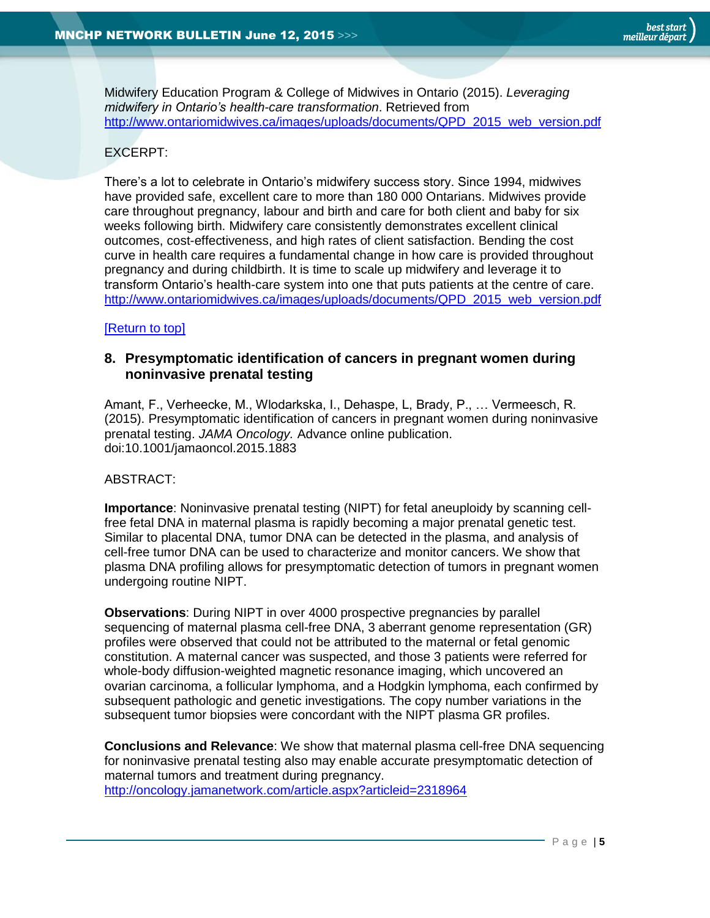Midwifery Education Program & College of Midwives in Ontario (2015). *Leveraging midwifery in Ontario's health-care transformation*. Retrieved from [http://www.ontariomidwives.ca/images/uploads/documents/QPD\\_2015\\_web\\_version.pdf](http://www.ontariomidwives.ca/images/uploads/documents/QPD_2015_web_version.pdf)

## EXCERPT:

There's a lot to celebrate in Ontario's midwifery success story. Since 1994, midwives have provided safe, excellent care to more than 180 000 Ontarians. Midwives provide care throughout pregnancy, labour and birth and care for both client and baby for six weeks following birth. Midwifery care consistently demonstrates excellent clinical outcomes, cost-effectiveness, and high rates of client satisfaction. Bending the cost curve in health care requires a fundamental change in how care is provided throughout pregnancy and during childbirth. It is time to scale up midwifery and leverage it to transform Ontario's health-care system into one that puts patients at the centre of care. [http://www.ontariomidwives.ca/images/uploads/documents/QPD\\_2015\\_web\\_version.pdf](http://www.ontariomidwives.ca/images/uploads/documents/QPD_2015_web_version.pdf)

#### [\[Return to top\]](#page-0-0)

## <span id="page-4-0"></span>**8. Presymptomatic identification of cancers in pregnant women during noninvasive prenatal testing**

Amant, F., Verheecke, M., Wlodarkska, I., Dehaspe, L, Brady, P., … Vermeesch, R. (2015). Presymptomatic identification of cancers in pregnant women during noninvasive prenatal testing. *JAMA Oncology.* Advance online publication. doi:10.1001/jamaoncol.2015.1883

#### ABSTRACT:

**Importance**: Noninvasive prenatal testing (NIPT) for fetal aneuploidy by scanning cellfree fetal DNA in maternal plasma is rapidly becoming a major prenatal genetic test. Similar to placental DNA, tumor DNA can be detected in the plasma, and analysis of cell-free tumor DNA can be used to characterize and monitor cancers. We show that plasma DNA profiling allows for presymptomatic detection of tumors in pregnant women undergoing routine NIPT.

**Observations**: During NIPT in over 4000 prospective pregnancies by parallel sequencing of maternal plasma cell-free DNA, 3 aberrant genome representation (GR) profiles were observed that could not be attributed to the maternal or fetal genomic constitution. A maternal cancer was suspected, and those 3 patients were referred for whole-body diffusion-weighted magnetic resonance imaging, which uncovered an ovarian carcinoma, a follicular lymphoma, and a Hodgkin lymphoma, each confirmed by subsequent pathologic and genetic investigations. The copy number variations in the subsequent tumor biopsies were concordant with the NIPT plasma GR profiles.

**Conclusions and Relevance**: We show that maternal plasma cell-free DNA sequencing for noninvasive prenatal testing also may enable accurate presymptomatic detection of maternal tumors and treatment during pregnancy. <http://oncology.jamanetwork.com/article.aspx?articleid=2318964>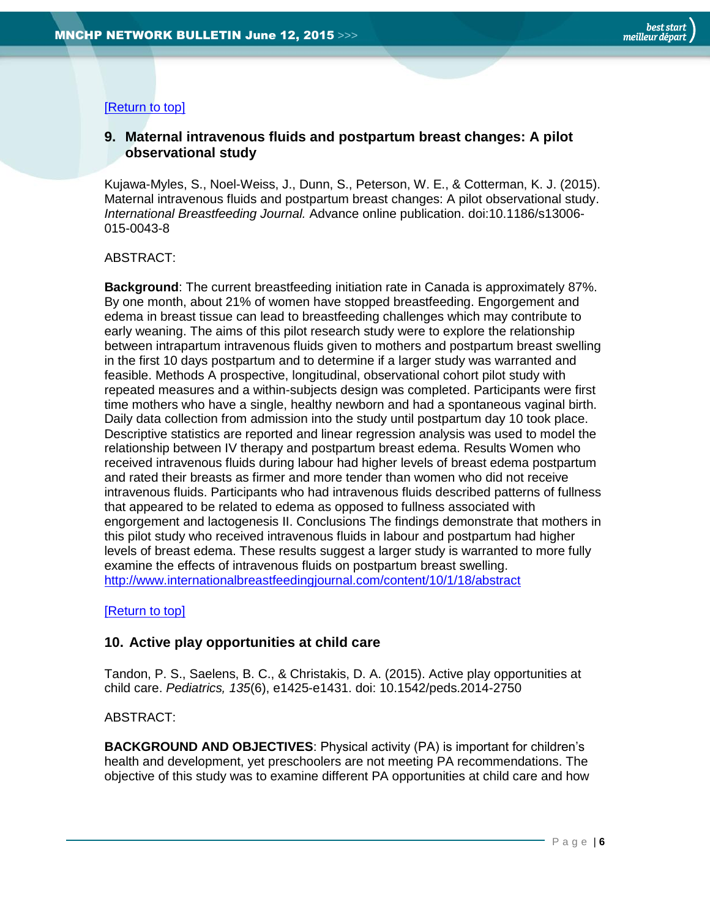## [\[Return to top\]](#page-0-0)

# <span id="page-5-0"></span>**9. Maternal intravenous fluids and postpartum breast changes: A pilot observational study**

Kujawa-Myles, S., Noel-Weiss, J., Dunn, S., Peterson, W. E., & Cotterman, K. J. (2015). Maternal intravenous fluids and postpartum breast changes: A pilot observational study. *International Breastfeeding Journal.* Advance online publication. doi:10.1186/s13006- 015-0043-8

#### ABSTRACT:

**Background**: The current breastfeeding initiation rate in Canada is approximately 87%. By one month, about 21% of women have stopped breastfeeding. Engorgement and edema in breast tissue can lead to breastfeeding challenges which may contribute to early weaning. The aims of this pilot research study were to explore the relationship between intrapartum intravenous fluids given to mothers and postpartum breast swelling in the first 10 days postpartum and to determine if a larger study was warranted and feasible. Methods A prospective, longitudinal, observational cohort pilot study with repeated measures and a within-subjects design was completed. Participants were first time mothers who have a single, healthy newborn and had a spontaneous vaginal birth. Daily data collection from admission into the study until postpartum day 10 took place. Descriptive statistics are reported and linear regression analysis was used to model the relationship between IV therapy and postpartum breast edema. Results Women who received intravenous fluids during labour had higher levels of breast edema postpartum and rated their breasts as firmer and more tender than women who did not receive intravenous fluids. Participants who had intravenous fluids described patterns of fullness that appeared to be related to edema as opposed to fullness associated with engorgement and lactogenesis II. Conclusions The findings demonstrate that mothers in this pilot study who received intravenous fluids in labour and postpartum had higher levels of breast edema. These results suggest a larger study is warranted to more fully examine the effects of intravenous fluids on postpartum breast swelling. <http://www.internationalbreastfeedingjournal.com/content/10/1/18/abstract>

#### [\[Return to top\]](#page-0-0)

#### <span id="page-5-1"></span>**10. Active play opportunities at child care**

Tandon, P. S., Saelens, B. C., & Christakis, D. A. (2015). Active play opportunities at child care. *Pediatrics, 135*(6), e1425-e1431. doi: 10.1542/peds.2014-2750

#### ABSTRACT:

**BACKGROUND AND OBJECTIVES**: Physical activity (PA) is important for children's health and development, yet preschoolers are not meeting PA recommendations. The objective of this study was to examine different PA opportunities at child care and how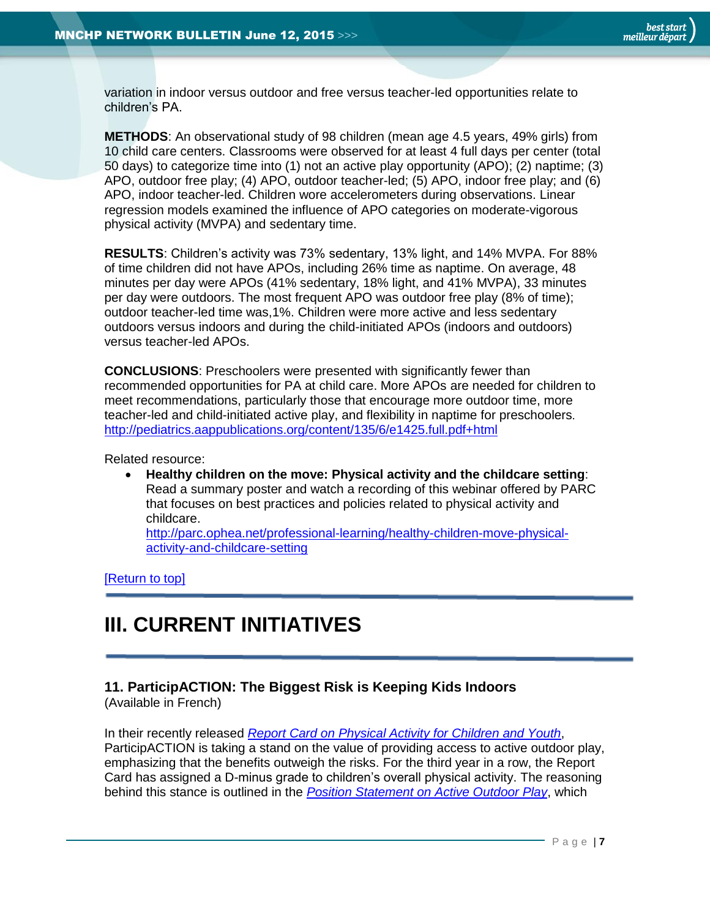variation in indoor versus outdoor and free versus teacher-led opportunities relate to children's PA.

**METHODS**: An observational study of 98 children (mean age 4.5 years, 49% girls) from 10 child care centers. Classrooms were observed for at least 4 full days per center (total 50 days) to categorize time into (1) not an active play opportunity (APO); (2) naptime; (3) APO, outdoor free play; (4) APO, outdoor teacher-led; (5) APO, indoor free play; and (6) APO, indoor teacher-led. Children wore accelerometers during observations. Linear regression models examined the influence of APO categories on moderate-vigorous physical activity (MVPA) and sedentary time.

**RESULTS**: Children's activity was 73% sedentary, 13% light, and 14% MVPA. For 88% of time children did not have APOs, including 26% time as naptime. On average, 48 minutes per day were APOs (41% sedentary, 18% light, and 41% MVPA), 33 minutes per day were outdoors. The most frequent APO was outdoor free play (8% of time); outdoor teacher-led time was,1%. Children were more active and less sedentary outdoors versus indoors and during the child-initiated APOs (indoors and outdoors) versus teacher-led APOs.

**CONCLUSIONS**: Preschoolers were presented with significantly fewer than recommended opportunities for PA at child care. More APOs are needed for children to meet recommendations, particularly those that encourage more outdoor time, more teacher-led and child-initiated active play, and flexibility in naptime for preschoolers. <http://pediatrics.aappublications.org/content/135/6/e1425.full.pdf+html>

Related resource:

 **Healthy children on the move: Physical activity and the childcare setting**: Read a summary poster and watch a recording of this webinar offered by PARC that focuses on best practices and policies related to physical activity and childcare.

[http://parc.ophea.net/professional-learning/healthy-children-move-physical](http://parc.ophea.net/professional-learning/healthy-children-move-physical-activity-and-childcare-setting)[activity-and-childcare-setting](http://parc.ophea.net/professional-learning/healthy-children-move-physical-activity-and-childcare-setting)

[\[Return to top\]](#page-0-0)

# <span id="page-6-0"></span>**III. CURRENT INITIATIVES**

## <span id="page-6-1"></span>**11. ParticipACTION: The Biggest Risk is Keeping Kids Indoors**

(Available in French)

In their recently released *[Report Card on Physical Activity for Children and](http://www.participaction.com/wp-content/uploads/2015/03/2015-Report-Card-Highlight-Report-EN-FINAL.pdf) Youth*, ParticipACTION is taking a stand on the value of providing access to active outdoor play, emphasizing that the benefits outweigh the risks. For the third year in a row, the Report Card has assigned a D-minus grade to children's overall physical activity. The reasoning behind this stance is outlined in the *[Position Statement on Active Outdoor Play](http://www.participaction.com/wp-content/uploads/2015/03/Position-Statement-on-Active-Outdoor-Play-EN-FINAL.pdf)*, which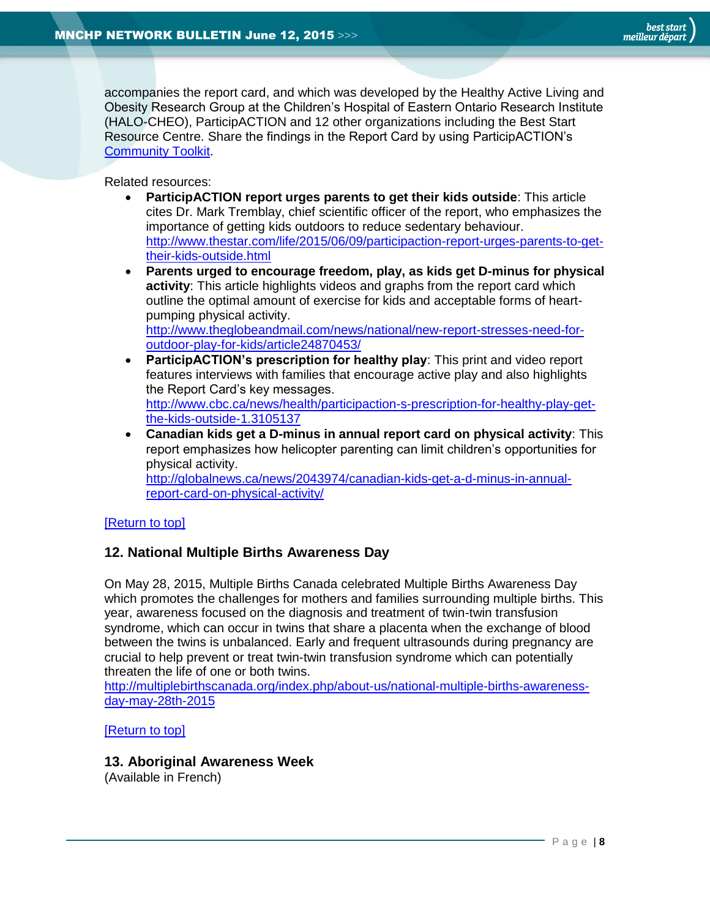accompanies the report card, and which was developed by the Healthy Active Living and Obesity Research Group at the Children's Hospital of Eastern Ontario Research Institute (HALO-CHEO), ParticipACTION and 12 other organizations including the Best Start Resource Centre. Share the findings in the Report Card by using ParticipACTION's [Community Toolkit.](http://www.participaction.com/report-card-2015/report-card-communication-tools/?utm_source=ZohoCampaigns&utm_campaign=Network+%2B+AHKC+%2B+PAC+list+-+report+card+launch+EN+05%2F12%2F2015_2015-06-04&utm_medium=email)

Related resources:

- **ParticipACTION report urges parents to get their kids outside**: This article cites Dr. Mark Tremblay, chief scientific officer of the report, who emphasizes the importance of getting kids outdoors to reduce sedentary behaviour. [http://www.thestar.com/life/2015/06/09/participaction-report-urges-parents-to-get](http://www.thestar.com/life/2015/06/09/participaction-report-urges-parents-to-get-their-kids-outside.html)[their-kids-outside.html](http://www.thestar.com/life/2015/06/09/participaction-report-urges-parents-to-get-their-kids-outside.html)
- **Parents urged to encourage freedom, play, as kids get D-minus for physical activity**: This article highlights videos and graphs from the report card which outline the optimal amount of exercise for kids and acceptable forms of heartpumping physical activity. [http://www.theglobeandmail.com/news/national/new-report-stresses-need-for](http://www.theglobeandmail.com/news/national/new-report-stresses-need-for-outdoor-play-for-kids/article24870453/)[outdoor-play-for-kids/article24870453/](http://www.theglobeandmail.com/news/national/new-report-stresses-need-for-outdoor-play-for-kids/article24870453/)
- **ParticipACTION's prescription for healthy play**: This print and video report features interviews with families that encourage active play and also highlights the Report Card's key messages. [http://www.cbc.ca/news/health/participaction-s-prescription-for-healthy-play-get](http://www.cbc.ca/news/health/participaction-s-prescription-for-healthy-play-get-the-kids-outside-1.3105137)[the-kids-outside-1.3105137](http://www.cbc.ca/news/health/participaction-s-prescription-for-healthy-play-get-the-kids-outside-1.3105137)
- **Canadian kids get a D-minus in annual report card on physical activity**: This report emphasizes how helicopter parenting can limit children's opportunities for physical activity. [http://globalnews.ca/news/2043974/canadian-kids-get-a-d-minus-in-annual](http://globalnews.ca/news/2043974/canadian-kids-get-a-d-minus-in-annual-report-card-on-physical-activity/)[report-card-on-physical-activity/](http://globalnews.ca/news/2043974/canadian-kids-get-a-d-minus-in-annual-report-card-on-physical-activity/)

#### [\[Return to top\]](#page-0-0)

#### <span id="page-7-0"></span>**12. National Multiple Births Awareness Day**

On May 28, 2015, Multiple Births Canada celebrated Multiple Births Awareness Day which promotes the challenges for mothers and families surrounding multiple births. This year, awareness focused on the diagnosis and treatment of twin-twin transfusion syndrome, which can occur in twins that share a placenta when the exchange of blood between the twins is unbalanced. Early and frequent ultrasounds during pregnancy are crucial to help prevent or treat twin-twin transfusion syndrome which can potentially threaten the life of one or both twins.

[http://multiplebirthscanada.org/index.php/about-us/national-multiple-births-awareness](http://multiplebirthscanada.org/index.php/about-us/national-multiple-births-awareness-day-may-28th-2015)[day-may-28th-2015](http://multiplebirthscanada.org/index.php/about-us/national-multiple-births-awareness-day-may-28th-2015)

[\[Return to top\]](#page-0-0)

#### <span id="page-7-1"></span>**13. Aboriginal Awareness Week**

(Available in French)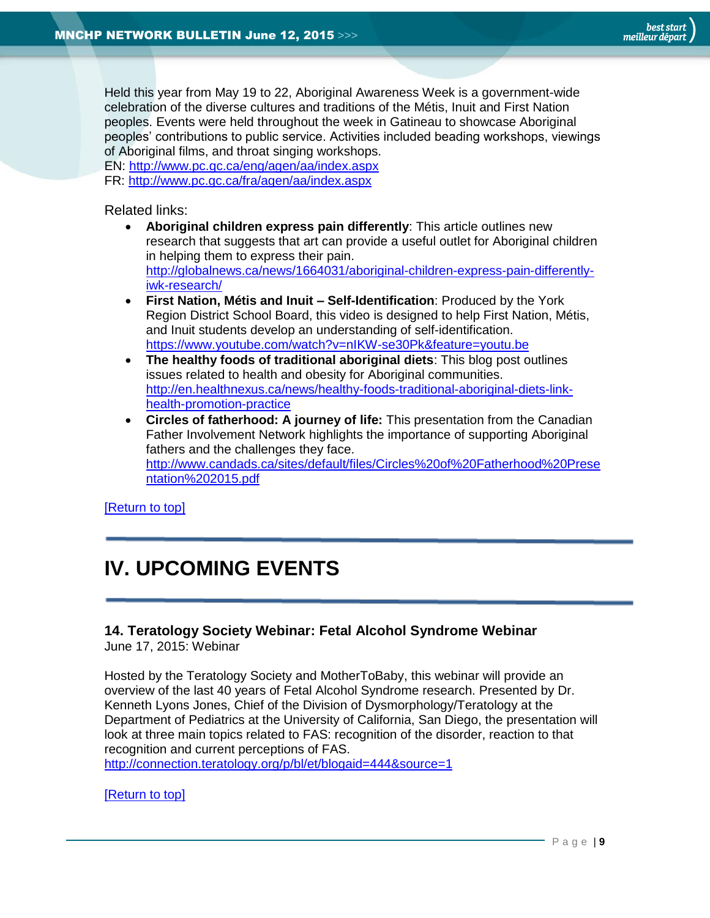Held this year from May 19 to 22, Aboriginal Awareness Week is a government-wide celebration of the diverse cultures and traditions of the Métis, Inuit and First Nation peoples. Events were held throughout the week in Gatineau to showcase Aboriginal peoples' contributions to public service. Activities included beading workshops, viewings of Aboriginal films, and throat singing workshops.

EN:<http://www.pc.gc.ca/eng/agen/aa/index.aspx>

FR:<http://www.pc.gc.ca/fra/agen/aa/index.aspx>

Related links:

- **Aboriginal children express pain differently**: This article outlines new research that suggests that art can provide a useful outlet for Aboriginal children in helping them to express their pain. [http://globalnews.ca/news/1664031/aboriginal-children-express-pain-differently](http://globalnews.ca/news/1664031/aboriginal-children-express-pain-differently-iwk-research/)[iwk-research/](http://globalnews.ca/news/1664031/aboriginal-children-express-pain-differently-iwk-research/)
- **First Nation, Métis and Inuit – Self-Identification**: Produced by the York Region District School Board, this video is designed to help First Nation, Métis, and Inuit students develop an understanding of self-identification. <https://www.youtube.com/watch?v=nIKW-se30Pk&feature=youtu.be>
- **The healthy foods of traditional aboriginal diets**: This blog post outlines issues related to health and obesity for Aboriginal communities. [http://en.healthnexus.ca/news/healthy-foods-traditional-aboriginal-diets-link](http://en.healthnexus.ca/news/healthy-foods-traditional-aboriginal-diets-link-health-promotion-practice)[health-promotion-practice](http://en.healthnexus.ca/news/healthy-foods-traditional-aboriginal-diets-link-health-promotion-practice)
- <span id="page-8-0"></span> **Circles of fatherhood: A journey of life:** This presentation from the Canadian Father Involvement Network highlights the importance of supporting Aboriginal fathers and the challenges they face. [http://www.candads.ca/sites/default/files/Circles%20of%20Fatherhood%20Prese](http://www.candads.ca/sites/default/files/Circles%20of%20Fatherhood%20Presentation%202015.pdf) [ntation%202015.pdf](http://www.candads.ca/sites/default/files/Circles%20of%20Fatherhood%20Presentation%202015.pdf)

[\[Return to top\]](#page-0-0)

# **IV. UPCOMING EVENTS**

# <span id="page-8-1"></span>**14. Teratology Society Webinar: Fetal Alcohol Syndrome Webinar**

June 17, 2015: Webinar

Hosted by the Teratology Society and MotherToBaby, this webinar will provide an overview of the last 40 years of Fetal Alcohol Syndrome research. Presented by Dr. Kenneth Lyons Jones, Chief of the Division of Dysmorphology/Teratology at the Department of Pediatrics at the University of California, San Diego, the presentation will look at three main topics related to FAS: recognition of the disorder, reaction to that recognition and current perceptions of FAS.

<http://connection.teratology.org/p/bl/et/blogaid=444&source=1>

#### [\[Return to top\]](#page-0-0)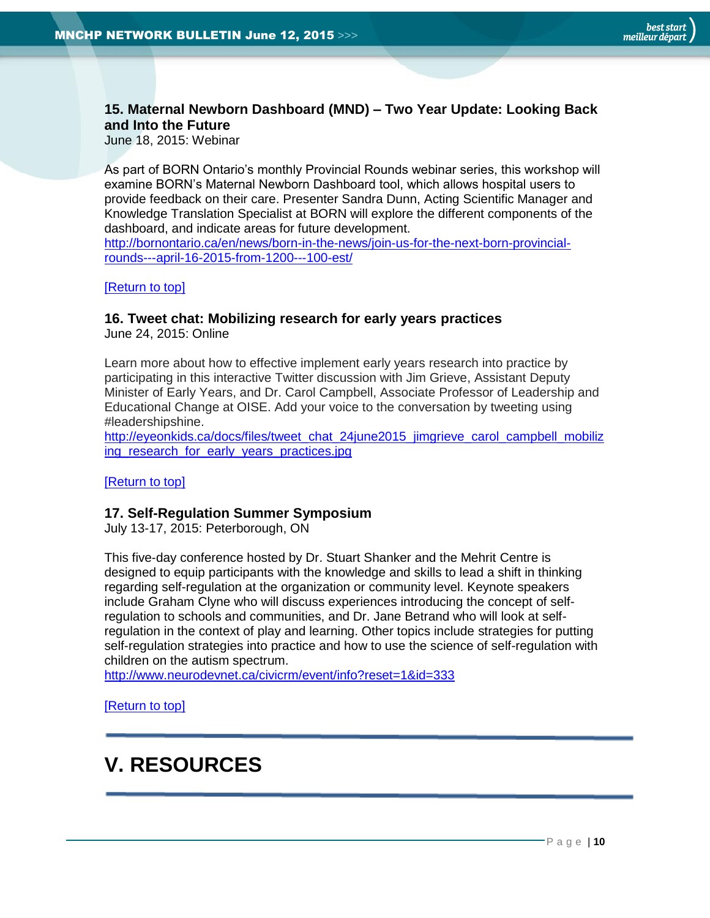# <span id="page-9-0"></span>**15. Maternal Newborn Dashboard (MND) – Two Year Update: Looking Back and Into the Future**

June 18, 2015: Webinar

As part of BORN Ontario's monthly Provincial Rounds webinar series, this workshop will examine BORN's Maternal Newborn Dashboard tool, which allows hospital users to provide feedback on their care. Presenter Sandra Dunn, Acting Scientific Manager and Knowledge Translation Specialist at BORN will explore the different components of the dashboard, and indicate areas for future development.

[http://bornontario.ca/en/news/born-in-the-news/join-us-for-the-next-born-provincial](http://bornontario.ca/en/news/born-in-the-news/join-us-for-the-next-born-provincial-rounds---april-16-2015-from-1200---100-est/)[rounds---april-16-2015-from-1200---100-est/](http://bornontario.ca/en/news/born-in-the-news/join-us-for-the-next-born-provincial-rounds---april-16-2015-from-1200---100-est/)

[\[Return to top\]](#page-0-0)

#### <span id="page-9-1"></span>**16. Tweet chat: Mobilizing research for early years practices**

June 24, 2015: Online

Learn more about how to effective implement early years research into practice by participating in this interactive Twitter discussion with Jim Grieve, Assistant Deputy Minister of Early Years, and Dr. Carol Campbell, Associate Professor of Leadership and Educational Change at OISE. Add your voice to the conversation by tweeting using #leadershipshine.

[http://eyeonkids.ca/docs/files/tweet\\_chat\\_24june2015\\_jimgrieve\\_carol\\_campbell\\_mobiliz](http://eyeonkids.ca/docs/files/tweet_chat_24june2015_jimgrieve_carol_campbell_mobilizing_research_for_early_years_practices.jpg) ing research for early years practices.jpg

[\[Return to top\]](#page-0-0)

#### <span id="page-9-2"></span>**17. Self-Regulation Summer Symposium**

July 13-17, 2015: Peterborough, ON

This five-day conference hosted by Dr. Stuart Shanker and the Mehrit Centre is designed to equip participants with the knowledge and skills to lead a shift in thinking regarding self-regulation at the organization or community level. Keynote speakers include Graham Clyne who will discuss experiences introducing the concept of selfregulation to schools and communities, and Dr. Jane Betrand who will look at selfregulation in the context of play and learning. Other topics include strategies for putting self-regulation strategies into practice and how to use the science of self-regulation with children on the autism spectrum.

<http://www.neurodevnet.ca/civicrm/event/info?reset=1&id=333>

[\[Return to top\]](#page-0-0)

# <span id="page-9-3"></span>**V. RESOURCES**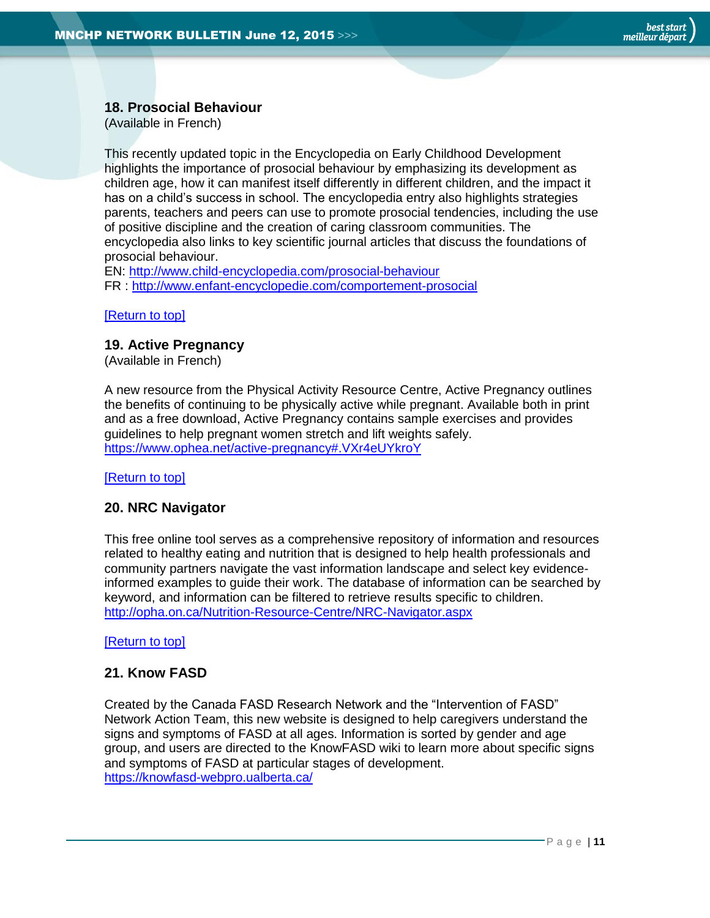## <span id="page-10-0"></span>**18. Prosocial Behaviour**

(Available in French)

This recently updated topic in the Encyclopedia on Early Childhood Development highlights the importance of prosocial behaviour by emphasizing its development as children age, how it can manifest itself differently in different children, and the impact it has on a child's success in school. The encyclopedia entry also highlights strategies parents, teachers and peers can use to promote prosocial tendencies, including the use of positive discipline and the creation of caring classroom communities. The encyclopedia also links to key scientific journal articles that discuss the foundations of prosocial behaviour.

EN:<http://www.child-encyclopedia.com/prosocial-behaviour>

FR :<http://www.enfant-encyclopedie.com/comportement-prosocial>

#### [\[Return to top\]](#page-0-0)

#### <span id="page-10-1"></span>**19. Active Pregnancy**

(Available in French)

A new resource from the Physical Activity Resource Centre, Active Pregnancy outlines the benefits of continuing to be physically active while pregnant. Available both in print and as a free download, Active Pregnancy contains sample exercises and provides guidelines to help pregnant women stretch and lift weights safely. <https://www.ophea.net/active-pregnancy#.VXr4eUYkroY>

[\[Return to top\]](#page-0-0)

#### <span id="page-10-2"></span>**20. NRC Navigator**

This free online tool serves as a comprehensive repository of information and resources related to healthy eating and nutrition that is designed to help health professionals and community partners navigate the vast information landscape and select key evidenceinformed examples to guide their work. The database of information can be searched by keyword, and information can be filtered to retrieve results specific to children. <http://opha.on.ca/Nutrition-Resource-Centre/NRC-Navigator.aspx>

[\[Return to top\]](#page-0-0)

#### <span id="page-10-3"></span>**21. Know FASD**

Created by the Canada FASD Research Network and the "Intervention of FASD" Network Action Team, this new website is designed to help caregivers understand the signs and symptoms of FASD at all ages. Information is sorted by gender and age group, and users are directed to the KnowFASD wiki to learn more about specific signs and symptoms of FASD at particular stages of development. <https://knowfasd-webpro.ualberta.ca/>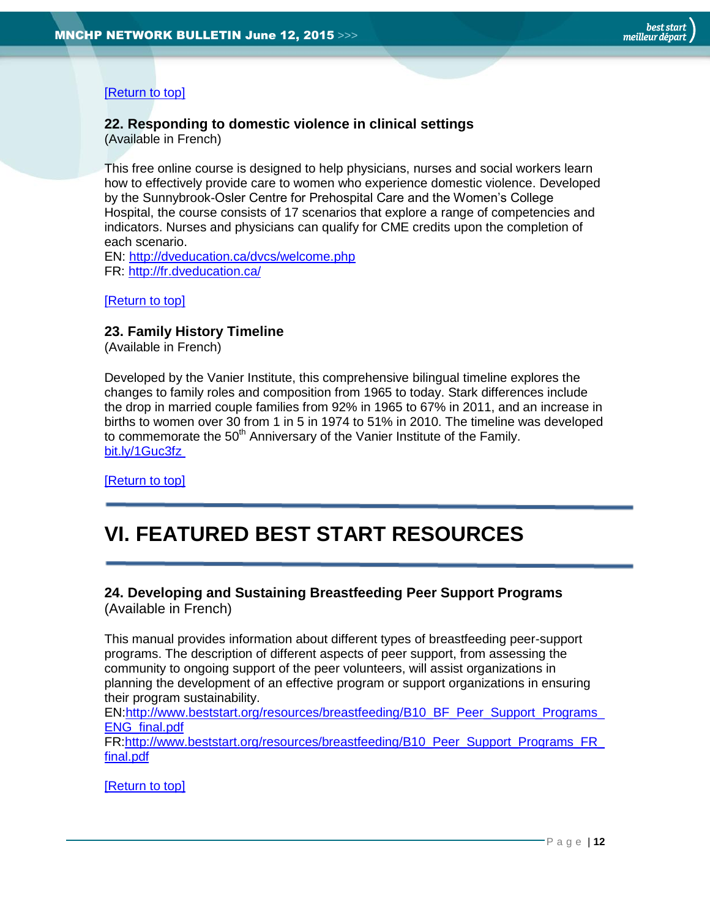# [\[Return to top\]](#page-0-0)

# <span id="page-11-0"></span>**22. Responding to domestic violence in clinical settings**

(Available in French)

This free online course is designed to help physicians, nurses and social workers learn how to effectively provide care to women who experience domestic violence. Developed by the Sunnybrook-Osler Centre for Prehospital Care and the Women's College Hospital, the course consists of 17 scenarios that explore a range of competencies and indicators. Nurses and physicians can qualify for CME credits upon the completion of each scenario.

EN:<http://dveducation.ca/dvcs/welcome.php> [FR: http://fr.dveducation.ca/](fr:%20http://fr.dveducation.ca/)

#### [\[Return to top\]](#page-0-0)

## <span id="page-11-1"></span>**23. Family History Timeline**

(Available in French)

Developed by the Vanier Institute, this comprehensive bilingual timeline explores the changes to family roles and composition from 1965 to today. Stark differences include the drop in married couple families from 92% in 1965 to 67% in 2011, and an increase in births to women over 30 from 1 in 5 in 1974 to 51% in 2010. The timeline was developed to commemorate the  $50<sup>th</sup>$  Anniversary of the Vanier Institute of the Family. [bit.ly/1Guc3fz](http://t.co/gPRLdA7W9q)

[\[Return to top\]](#page-0-0)

# <span id="page-11-2"></span>**VI. FEATURED BEST START RESOURCES**

#### <span id="page-11-3"></span>**24. Developing and Sustaining Breastfeeding Peer Support Programs** (Available in French)

This manual provides information about different types of breastfeeding peer-support programs. The description of different aspects of peer support, from assessing the community to ongoing support of the peer volunteers, will assist organizations in planning the development of an effective program or support organizations in ensuring their program sustainability.

[EN:http://www.beststart.org/resources/breastfeeding/B10\\_BF\\_Peer\\_Support\\_Programs\\_](http://www.beststart.org/resources/breastfeeding/B10_BF_Peer_Support_Programs_ENG_final.pdf) [ENG\\_final.pdf](http://www.beststart.org/resources/breastfeeding/B10_BF_Peer_Support_Programs_ENG_final.pdf)

FR[:http://www.beststart.org/resources/breastfeeding/B10\\_Peer\\_Support\\_Programs\\_FR\\_](http://www.beststart.org/resources/breastfeeding/B10_Peer_Support_Programs_FR_final.pdf) [final.pdf](http://www.beststart.org/resources/breastfeeding/B10_Peer_Support_Programs_FR_final.pdf)

[\[Return to top\]](#page-0-0)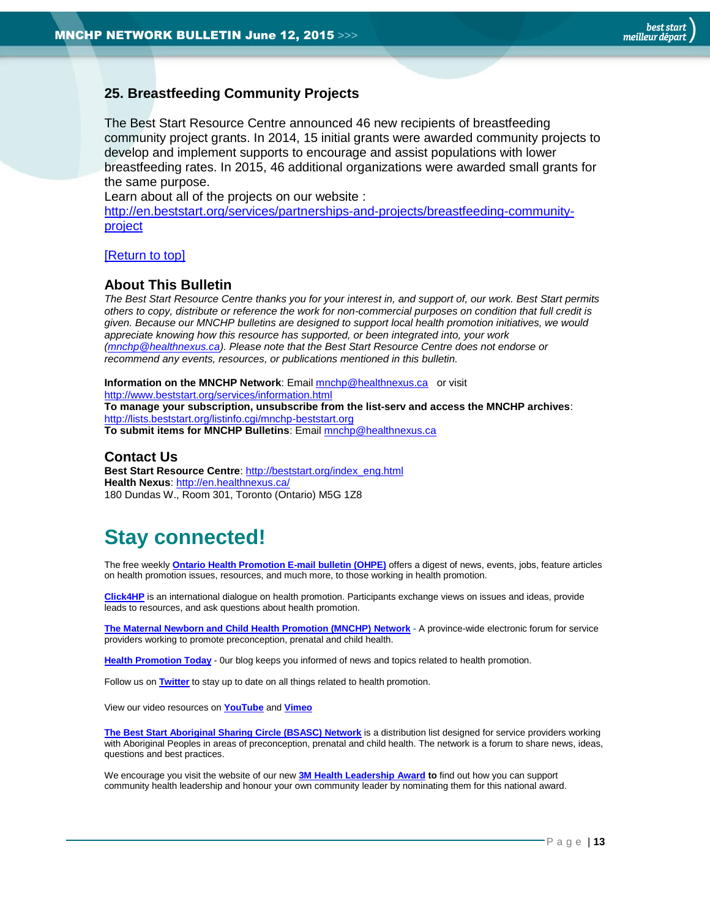# <span id="page-12-1"></span>**25. Breastfeeding Community Projects**

The Best Start Resource Centre announced 46 new recipients of breastfeeding community project grants. In 2014, 15 initial grants were awarded community projects to develop and implement supports to encourage and assist populations with lower breastfeeding rates. In 2015, 46 additional organizations were awarded small grants for the same purpose.

Learn about all of the projects on our website :

[http://en.beststart.org/services/partnerships-and-projects/breastfeeding-community](http://en.beststart.org/services/partnerships-and-projects/breastfeeding-community-project)[project](http://en.beststart.org/services/partnerships-and-projects/breastfeeding-community-project)

#### [\[Return to top\]](#page-0-0)

#### <span id="page-12-0"></span>**About This Bulletin**

*The Best Start Resource Centre thanks you for your interest in, and support of, our work. Best Start permits others to copy, distribute or reference the work for non-commercial purposes on condition that full credit is given. Because our MNCHP bulletins are designed to support local health promotion initiatives, we would appreciate knowing how this resource has supported, or been integrated into, your work [\(mnchp@healthnexus.ca\)](mailto:mnchp@healthnexus.ca). Please note that the Best Start Resource Centre does not endorse or recommend any events, resources, or publications mentioned in this bulletin.* 

#### **Information on the MNCHP Network:** Email **mnchp@healthnexus.ca** or visit <http://www.beststart.org/services/information.html> **To manage your subscription, unsubscribe from the list-serv and access the MNCHP archives**: <http://lists.beststart.org/listinfo.cgi/mnchp-beststart.org>

**To submit items for MNCHP Bulletins**: Emai[l mnchp@healthnexus.ca](mailto:mnchp@healthnexus.ca)

#### **Contact Us**

**Best Start Resource Centre**: [http://beststart.org/index\\_eng.html](http://beststart.org/index_eng.html) **Health Nexus**:<http://en.healthnexus.ca/> 180 Dundas W., Room 301, Toronto (Ontario) M5G 1Z8

# **Stay connected!**

The free weekly **[Ontario Health Promotion E-mail bulletin \(OHPE\)](http://www.ohpe.ca/)** offers a digest of news, events, jobs, feature articles on health promotion issues, resources, and much more, to those working in health promotion.

**[Click4HP](https://listserv.yorku.ca/archives/click4hp.html)** is an international dialogue on health promotion. Participants exchange views on issues and ideas, provide leads to resources, and ask questions about health promotion.

**[The Maternal Newborn and Child Health Promotion \(MNCHP\)](http://www.beststart.org/services/MNCHP.html) Network -** A province-wide electronic forum for service providers working to promote preconception, prenatal and child health.

**[Health Promotion Today](http://en.healthnexus.ca/)** - 0ur blog keeps you informed of news and topics related to health promotion.

Follow us on **[Twitter](https://twitter.com/Health_Nexus)** to stay up to date on all things related to health promotion.

View our video resources on **[YouTube](http://www.youtube.com/user/healthnexussante)** and **[Vimeo](https://vimeo.com/user9493317)**

**[The Best Start Aboriginal Sharing Circle \(BSASC\) Network](http://lists.beststart.org/listinfo.cgi/bsasc-beststart.org)** is a distribution list designed for service providers working with Aboriginal Peoples in areas of preconception, prenatal and child health. The network is a forum to share news, ideas, questions and best practices.

We encourage you visit the website of our new **[3M Health Leadership Award](http://www.healthnexus.ca/leadershipaward) to** find out how you can support community health leadership and honour your own community leader by nominating them for this national award.